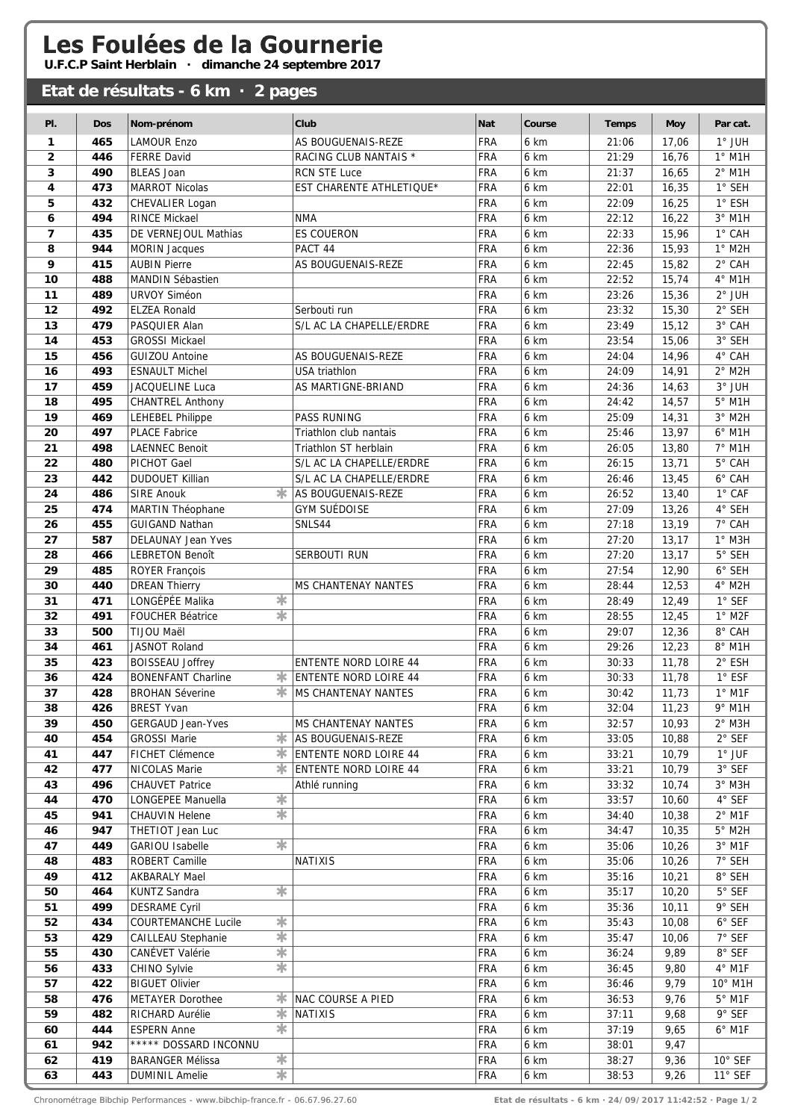## Les Foulées de la Gournerie

**U.F.C.P Saint Herblain · dimanche 24 septembre 2017**

## **Etat de résultats - 6 km · 2 pages Pl. Dos Nom-prénom Club Nat Course Temps Moy Par cat. 1 465** LAMOUR Enzo AS BOUGUENAIS-REZE FRA 6 km 21:06 17,06 1° JUH **2** 446 FERRE David **RACING CLUB NANTAIS \*** FRA 6 km 21:29 16.76 1° M1H **3 490** BLEAS Joan RCN STE Luce FRA 6 km 21:37 16,65 2° M1H **4 473** MARROT Nicolas EST CHARENTE ATHLETIQUE\* FRA 6 km 22:01 16,35 1° SEH **5** 432 CHEVALIER Logan **FRA 6 km** 22:09 16,25 1° ESH **6 494** RINCE Mickael NMA FRA 6 km 22:12 16,22 3° M1H **7 435** DE VERNEJOUL Mathias ES COUERON FRA 6 km 22:33 15,96 1° CAH **8 944** MORIN Jacques **PACT 44** PACT 44 **FRA** 6 km 22:36 15,93 1° M2H **9 415** AUBIN Pierre AS BOUGUENAIS-REZE FRA 6 km 22:45 15,82 2° CAH **10 488** MANDIN Sébastien **FRA 6 km** 22:52 15,74 4° M1H **11 489** URVOY Siméon FRA 6 km 23:26 15,36 2° JUH **12** | **492** ELZEA Ronald | Serbouti run | FRA | 6 km | 23:32 | 15,30 | 2° SEH **13 479** PASQUIER Alan S/L AC LA CHAPELLE/ERDRE FRA 6 km 23:49 15,12 3° CAH **14 453** GROSSI Mickael FRA 6 km 23:54 15,06 3° SEH **15 456** GUIZOU Antoine AS BOUGUENAIS-REZE FRA 6 km 24:04 14,96 4° CAH **16 493** ESNAULT Michel USA triathlon FRA 6 km 24:09 14,91 2° M2H **17 459** JACQUELINE Luca AS MARTIGNE-BRIAND FRA 6 km 24:36 14,63 3° JUH **18 495** CHANTREL Anthony **FRA** 6 km **24:42** 14,57 **5° M1H 19 469** LEHEBEL Philippe PASS RUNING FRA 6 km 25:09 14,31 3° M2H **20 497** PLACE Fabrice Triathlon club nantais FRA 6 km 25:46 13,97 6° M1H **21 498** LAENNEC Benoit Triathlon ST herblain FRA 6 km 26:05 13.80 7° M1H **22 480** PICHOT Gael S/L AC LA CHAPELLE/ERDRE FRA 6 km 26:15 13,71 5° CAH 23 442 DUDOUET Killian S/L AC LA CHAPELLE/ERDRE FRA 6 km 26:46 13.45 6°CAH **24 486** SIRE Anouk AS BOUGUENAIS-REZE FRA 6 km 26:52 13.40 1° CAF **25 474** MARTIN Théophane GYM SUÉDOISE FRA 6 km 27:09 13,26 4° SEH **26 455** GUIGAND Nathan SNLS44 FRA 6 km 27:18 13,19 7° CAH **27 587** DELAUNAY Jean Yves **FRA** 6 km 27:20 13,17 1° M3H **28** | 466 |LEBRETON Benoît | SERBOUTI RUN | FRA | 6 km | 27:20 | 13,17 | 5° SEH **29 485** ROYER François FRA 6 km  $27:54$  12,90 6° SEH **30 440** DREAN Thierry MS CHANTENAY NANTES FRA 6 km 28:44 12,53 4° M2H **31 471** LONGÉPÉE Malika  $\frac{1}{28}$  **FRA** 6 km 28:49 12,49 1° SEF **32 491 FOUCHER Béatrice**  $\frac{1}{10}$  $\frac{1}{10}$  $\frac{1}{10}$  $\frac{1}{10}$  $\frac{1}{10}$  $\frac{1}{10}$  $\frac{1}{10}$  $\frac{1}{10}$  $\frac{1}{10}$  $\frac{1}{10}$  $\frac{1}{10}$  $\frac{1}{10}$  $\frac{1}{10}$  $\frac{1}{10}$  $\frac{1}{10}$  $\frac{1}{10}$  $\frac{1}{10}$  $\frac{1}{10}$ **33 500** TIJOU Maël FRA 6 km 29:07 12,36 8° CAH **34 461** JASNOT Roland **FRA** 6 km 29:26 12,23 8° M1H **35 423 BOISSEAU Joffrey ENTENTE NORD LOIRE 44** FRA 6 km 30:33 11,78 2° ESH **36 424 BONENFANT Charline**  $\frac{1}{2}$  **ENTENTE NORD LOIRE 44** FRA 6 km 30:33 11,78 1° ESF **37 428 BROHAN Séverine**  $\frac{1}{2}$  **MS CHANTENAY NANTES FRA 6 km 30:42 11,73 1° M1F 38** | **426** BREST Yvan FRA 16 km | 32:04 | 11,23 | 9° M1H **39 450** GERGAUD Jean-Yves MS CHANTENAY NANTES FRA 6 km 32:57 10,93 2° M3H **40 454 GROSSI Marie AS BOUGUENAIS-REZE FRA 6 km 33:05 10.88 2° SEF 10.88 31.95 10.88 31.95 10.88 40. 41 447** FICHET Clémence  $\frac{1}{2}$  ENTENTE NORD LOIRE 44 FRA 6 km 33:21 10,79 1° JUF **42 477** NICOLAS Marie  $\frac{1}{2}$  **ENTENTE NORD LOIRE 44** FRA 6 km 33:21 10,79 3° SEF **43 | 496** | CHAUVET Patrice | Athlé running | TRA | 6 km | 33:32 | 10,74 | 3° M3H **44 470** LONGEPEE Manuella  $\frac{1}{2}$  **FRA** 6 km 33:57 10,60 4° SEF **45 941 CHAUVIN Helene**  $\frac{1}{100}$  $\frac{1}{100}$  $\frac{1}{100}$  $\frac{1}{100}$  $\frac{1}{100}$  $\frac{1}{100}$  $\frac{1}{100}$  $\frac{1}{100}$  $\frac{1}{100}$  $\frac{1}{100}$  $\frac{1}{100}$  $\frac{1}{100}$  $\frac{1}{100}$  $\frac{1}{100}$  $\frac{1}{100}$  $\frac{1}{100}$  **\frac{1}{1 46 947** THETIOT Jean Luc FRA 6 km 34:47 10,35 5° M2H **47 449 GARIOU Isabelle**  $\frac{1}{100}$  $\frac{1}{100}$  $\frac{1}{100}$  $\frac{1}{100}$  $\frac{1}{100}$  $\frac{1}{100}$  $\frac{1}{100}$  $\frac{1}{100}$  $\frac{1}{100}$  $\frac{1}{100}$  $\frac{1}{100}$  $\frac{1}{100}$  $\frac{1}{100}$  $\frac{1}{100}$  $\frac{1}{100}$  $\frac{1}{100}$  **\frac{1}{ 48 483** ROBERT Camille NATIXIS FRA 6 km 35:06 10,26 7° SEH **49 412** AKBARALY Mael FRA 6 km 35:16 10,21 8° SEH **50 464** KUNTZ Sandra FRA 6 km 35:17 10,20 5° SEF ✱ **51 499** DESRAME Cyril FRA 6 km 35:36 10,11 9° SEH **52 434 COURTEMANCHE Lucile**  $\frac{1}{2}$  **<b>FRA** 6 km 35:43 10,08 6° SEF **53 429** CAILLEAU Stephanie  $\frac{1}{2}$   $\frac{1}{2}$   $\frac{1}{2}$  FRA 6 km 35:47 10,06 7° SEF **55 430** CANÉVET Valérie  $\frac{1}{2}$  **FRA** 6 km 36:24 9,89 8° SEF **56 433 CHINO Sylvie \* \* THE TRA** 6 km 36:45 9,80 4° M1F **57** | **422** BIGUET Olivier FRA 5 | FRA | 6 km | 36:46 | 9,79 | 10° M1H **58 476** METAYER Dorothee  $\frac{1}{2}$  NAC COURSE A PIED FRA 6 km 36:53 9.76 5° M1F **59 482** RICHARD Aurélie  $\frac{1}{2}$  NATIXIS FRA 6 km 37:11 9,68 9° SEF **60 444 ESPERN Anne**  $\frac{1}{10}$  $\frac{1}{10}$  $\frac{1}{10}$  $\frac{1}{10}$  $\frac{1}{10}$  $\frac{1}{10}$  $\frac{1}{10}$  $\frac{1}{10}$  $\frac{1}{10}$  $\frac{1}{10}$  $\frac{1}{10}$  $\frac{1}{10}$  $\frac{1}{10}$  $\frac{1}{10}$  $\frac{1}{10}$  $\frac{1}{10}$  $\frac{1}{10}$  $\frac{1}{10}$  **\frac{ 61 942** \*\*\*\*\* DOSSARD INCONNU **FRA** 6 km 38:01 9,47 **62 419** BARANGER Mélissa  $\frac{1}{10}$  **FRA 6 km** 38:27 9,36 10° SEF **<sup>63</sup> <sup>443</sup>** DUMINIL Amelie ✱ FRA 6 km 38:53 9,26 11° SEF

Chronométrage Bibchip Performances - www.bibchip-france.fr - 06.67.96.27.60 **Etat de résultats - 6 km · 24/09/2017 11:42:52 · Page 1/2**